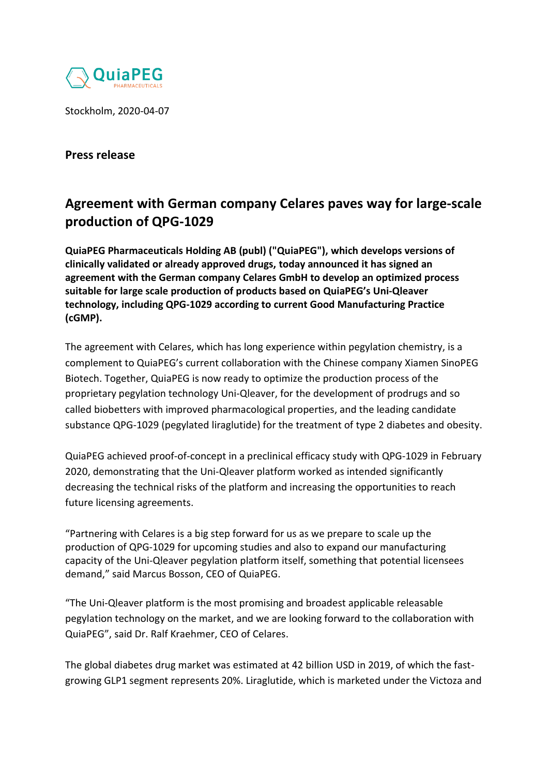

Stockholm, 2020-04-07

## **Press release**

## **Agreement with German company Celares paves way for large-scale production of QPG-1029**

**QuiaPEG Pharmaceuticals Holding AB (publ) ("QuiaPEG"), which develops versions of clinically validated or already approved drugs, today announced it has signed an agreement with the German company Celares GmbH to develop an optimized process suitable for large scale production of products based on QuiaPEG's Uni-Qleaver technology, including QPG-1029 according to current Good Manufacturing Practice (cGMP).** 

The agreement with Celares, which has long experience within pegylation chemistry, is a complement to QuiaPEG's current collaboration with the Chinese company Xiamen SinoPEG Biotech. Together, QuiaPEG is now ready to optimize the production process of the proprietary pegylation technology Uni-Qleaver, for the development of prodrugs and so called biobetters with improved pharmacological properties, and the leading candidate substance QPG-1029 (pegylated liraglutide) for the treatment of type 2 diabetes and obesity.

QuiaPEG achieved proof-of-concept in a preclinical efficacy study with QPG-1029 in February 2020, demonstrating that the Uni-Qleaver platform worked as intended significantly decreasing the technical risks of the platform and increasing the opportunities to reach future licensing agreements.

"Partnering with Celares is a big step forward for us as we prepare to scale up the production of QPG-1029 for upcoming studies and also to expand our manufacturing capacity of the Uni-Qleaver pegylation platform itself, something that potential licensees demand," said Marcus Bosson, CEO of QuiaPEG.

"The Uni-Qleaver platform is the most promising and broadest applicable releasable pegylation technology on the market, and we are looking forward to the collaboration with QuiaPEG", said Dr. Ralf Kraehmer, CEO of Celares.

The global diabetes drug market was estimated at 42 billion USD in 2019, of which the fastgrowing GLP1 segment represents 20%. Liraglutide, which is marketed under the Victoza and